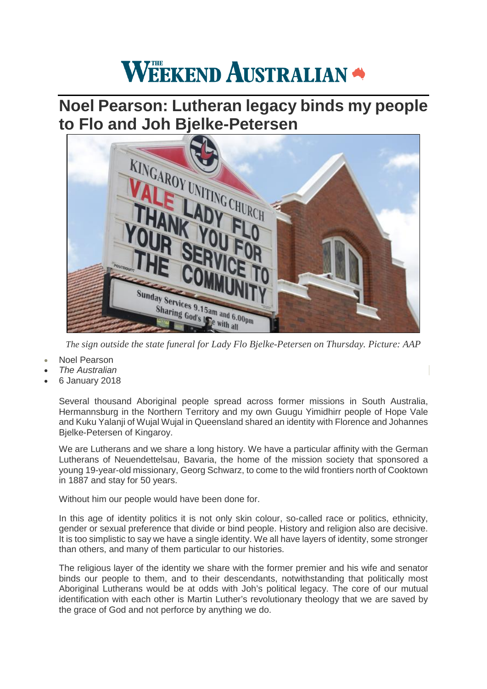## **WEEKEND AUSTRALIAN**

## **Noel Pearson: Lutheran legacy binds my people t[o Flo and Joh Bjelke-Petersen](http://cdn.newsapi.com.au/image/v1/e2fac125d017afc2092048249c82f823)**



*The sign outside the state funeral for Lady Flo Bjelke-Petersen on Thursday. Picture: AAP*

- [Noel Pearson](http://www.theaustralian.com.au/author/Noel+Pearson)
- *The Australian*
- 6 January 2018

Several thousand Aboriginal people spread across former missions in South Australia, Hermannsburg in the Northern Territory and my own Guugu Yimidhirr people of Hope Vale and Kuku Yalanji of Wujal Wujal in Queensland shared an identity with Florence and Johannes Bjelke-Petersen of Kingaroy.

We are Lutherans and we share a long history. We have a particular affinity with the German Lutherans of Neuendettelsau, Bavaria, the home of the mission society that sponsored a young 19-year-old missionary, Georg Schwarz, to come to the wild frontiers north of Cooktown in 1887 and stay for 50 years.

Without him our people would have been done for.

In this age of identity politics it is not only skin colour, so-called race or politics, ethnicity, gender or sexual preference that divide or bind people. History and religion also are decisive. It is too simplistic to say we have a single identity. We all have layers of identity, some stronger than others, and many of them particular to our histories.

The religious layer of the identity we share with the former premier and his wife and senator binds our people to them, and to their descendants, notwithstanding that politically most Aboriginal Lutherans would be at odds with Joh's political legacy. The core of our mutual identification with each other is Martin Luther's revolutionary theology that we are saved by the grace of God and not perforce by anything we do.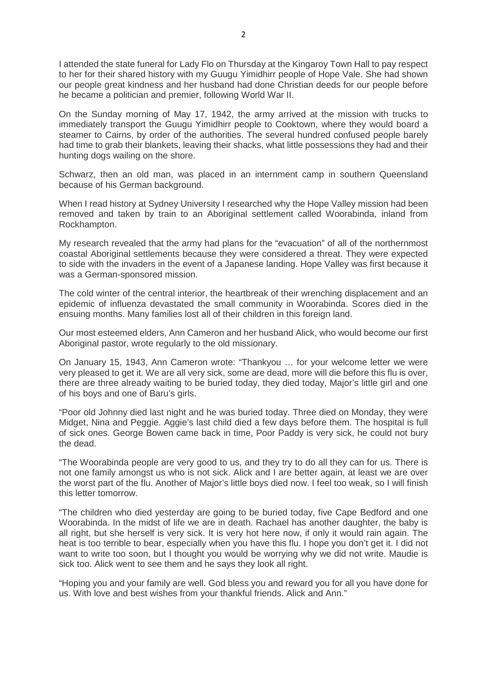I attended the state funeral for Lady Flo on Thursday at the Kingaroy Town Hall to pay respect to her for their shared history with my Guugu Yimidhirr people of Hope Vale. She had shown our people great kindness and her husband had done Christian deeds for our people before he became a politician and premier, following World War II.

On the Sunday morning of May 17, 1942, the army arrived at the mission with trucks to immediately transport the Guugu Yimidhirr people to Cooktown, where they would board a steamer to Cairns, by order of the authorities. The several hundred confused people barely had time to grab their blankets, leaving their shacks, what little possessions they had and their hunting dogs wailing on the shore.

Schwarz, then an old man, was placed in an internment camp in southern Queensland because of his German background.

When I read history at Sydney University I researched why the Hope Valley mission had been removed and taken by train to an Aboriginal settlement called Woorabinda, inland from Rockhampton.

My research revealed that the army had plans for the "evacuation" of all of the northernmost coastal Aboriginal settlements because they were considered a threat. They were expected to side with the invaders in the event of a Japanese landing. Hope Valley was first because it was a German-sponsored mission.

The cold winter of the central interior, the heartbreak of their wrenching displacement and an epidemic of influenza devastated the small community in Woorabinda. Scores died in the ensuing months. Many families lost all of their children in this foreign land.

Our most esteemed elders, Ann Cameron and her husband Alick, who would become our first Aboriginal pastor, wrote regularly to the old missionary.

On January 15, 1943, Ann Cameron wrote: "Thankyou … for your welcome letter we were very pleased to get it. We are all very sick, some are dead, more will die before this flu is over, there are three already waiting to be buried today, they died today, Major's little girl and one of his boys and one of Baru's girls.

"Poor old Johnny died last night and he was buried today. Three died on Monday, they were Midget, Nina and Peggie. Aggie's last child died a few days before them. The hospital is full of sick ones. George Bowen came back in time, Poor Paddy is very sick, he could not bury the dead.

"The Woorabinda people are very good to us, and they try to do all they can for us. There is not one family amongst us who is not sick. Alick and I are better again, at least we are over the worst part of the flu. Another of Major's little boys died now. I feel too weak, so I will finish this letter tomorrow.

"The children who died yesterday are going to be buried today, five Cape Bedford and one Woorabinda. In the midst of life we are in death. Rachael has another daughter, the baby is all right, but she herself is very sick. It is very hot here now, if only it would rain again. The heat is too terrible to bear, especially when you have this flu. I hope you don't get it. I did not want to write too soon, but I thought you would be worrying why we did not write. Maudie is sick too. Alick went to see them and he says they look all right.

"Hoping you and your family are well. God bless you and reward you for all you have done for us. With love and best wishes from your thankful friends. Alick and Ann."